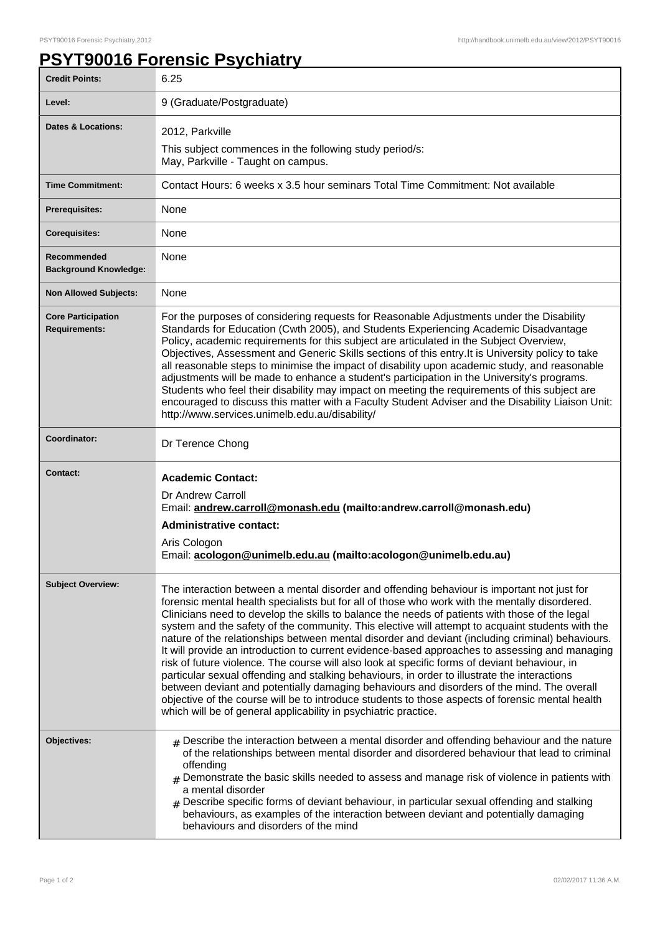## **PSYT90016 Forensic Psychiatry**

| <b>Credit Points:</b>                             | 6.25                                                                                                                                                                                                                                                                                                                                                                                                                                                                                                                                                                                                                                                                                                                                                                                                                                                                                                                                                                                                                                                                            |
|---------------------------------------------------|---------------------------------------------------------------------------------------------------------------------------------------------------------------------------------------------------------------------------------------------------------------------------------------------------------------------------------------------------------------------------------------------------------------------------------------------------------------------------------------------------------------------------------------------------------------------------------------------------------------------------------------------------------------------------------------------------------------------------------------------------------------------------------------------------------------------------------------------------------------------------------------------------------------------------------------------------------------------------------------------------------------------------------------------------------------------------------|
| Level:                                            | 9 (Graduate/Postgraduate)                                                                                                                                                                                                                                                                                                                                                                                                                                                                                                                                                                                                                                                                                                                                                                                                                                                                                                                                                                                                                                                       |
| Dates & Locations:                                | 2012, Parkville<br>This subject commences in the following study period/s:                                                                                                                                                                                                                                                                                                                                                                                                                                                                                                                                                                                                                                                                                                                                                                                                                                                                                                                                                                                                      |
|                                                   | May, Parkville - Taught on campus.                                                                                                                                                                                                                                                                                                                                                                                                                                                                                                                                                                                                                                                                                                                                                                                                                                                                                                                                                                                                                                              |
| <b>Time Commitment:</b>                           | Contact Hours: 6 weeks x 3.5 hour seminars Total Time Commitment: Not available                                                                                                                                                                                                                                                                                                                                                                                                                                                                                                                                                                                                                                                                                                                                                                                                                                                                                                                                                                                                 |
| <b>Prerequisites:</b>                             | None                                                                                                                                                                                                                                                                                                                                                                                                                                                                                                                                                                                                                                                                                                                                                                                                                                                                                                                                                                                                                                                                            |
| <b>Corequisites:</b>                              | None                                                                                                                                                                                                                                                                                                                                                                                                                                                                                                                                                                                                                                                                                                                                                                                                                                                                                                                                                                                                                                                                            |
| Recommended<br><b>Background Knowledge:</b>       | None                                                                                                                                                                                                                                                                                                                                                                                                                                                                                                                                                                                                                                                                                                                                                                                                                                                                                                                                                                                                                                                                            |
| <b>Non Allowed Subjects:</b>                      | <b>None</b>                                                                                                                                                                                                                                                                                                                                                                                                                                                                                                                                                                                                                                                                                                                                                                                                                                                                                                                                                                                                                                                                     |
| <b>Core Participation</b><br><b>Requirements:</b> | For the purposes of considering requests for Reasonable Adjustments under the Disability<br>Standards for Education (Cwth 2005), and Students Experiencing Academic Disadvantage<br>Policy, academic requirements for this subject are articulated in the Subject Overview,<br>Objectives, Assessment and Generic Skills sections of this entry. It is University policy to take<br>all reasonable steps to minimise the impact of disability upon academic study, and reasonable<br>adjustments will be made to enhance a student's participation in the University's programs.<br>Students who feel their disability may impact on meeting the requirements of this subject are<br>encouraged to discuss this matter with a Faculty Student Adviser and the Disability Liaison Unit:<br>http://www.services.unimelb.edu.au/disability/                                                                                                                                                                                                                                        |
| Coordinator:                                      | Dr Terence Chong                                                                                                                                                                                                                                                                                                                                                                                                                                                                                                                                                                                                                                                                                                                                                                                                                                                                                                                                                                                                                                                                |
| <b>Contact:</b>                                   | <b>Academic Contact:</b><br>Dr Andrew Carroll<br>Email: andrew.carroll@monash.edu (mailto:andrew.carroll@monash.edu)<br><b>Administrative contact:</b><br>Aris Cologon<br>Email: acologon@unimelb.edu.au (mailto:acologon@unimelb.edu.au)                                                                                                                                                                                                                                                                                                                                                                                                                                                                                                                                                                                                                                                                                                                                                                                                                                       |
| <b>Subject Overview:</b>                          | The interaction between a mental disorder and offending behaviour is important not just for<br>forensic mental health specialists but for all of those who work with the mentally disordered.<br>Clinicians need to develop the skills to balance the needs of patients with those of the legal<br>system and the safety of the community. This elective will attempt to acquaint students with the<br>nature of the relationships between mental disorder and deviant (including criminal) behaviours.<br>It will provide an introduction to current evidence-based approaches to assessing and managing<br>risk of future violence. The course will also look at specific forms of deviant behaviour, in<br>particular sexual offending and stalking behaviours, in order to illustrate the interactions<br>between deviant and potentially damaging behaviours and disorders of the mind. The overall<br>objective of the course will be to introduce students to those aspects of forensic mental health<br>which will be of general applicability in psychiatric practice. |
| Objectives:                                       | $_{\#}$ Describe the interaction between a mental disorder and offending behaviour and the nature<br>of the relationships between mental disorder and disordered behaviour that lead to criminal<br>offending<br>Demonstrate the basic skills needed to assess and manage risk of violence in patients with<br>#<br>a mental disorder<br>$_{\rm \#}$ Describe specific forms of deviant behaviour, in particular sexual offending and stalking<br>behaviours, as examples of the interaction between deviant and potentially damaging<br>behaviours and disorders of the mind                                                                                                                                                                                                                                                                                                                                                                                                                                                                                                   |